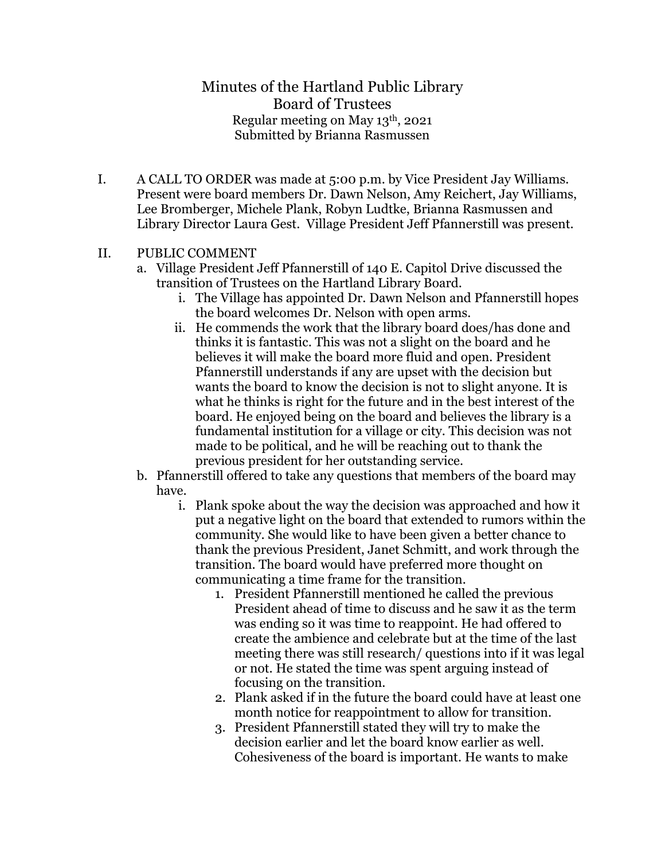# Minutes of the Hartland Public Library Board of Trustees Regular meeting on May 13th, 2021 Submitted by Brianna Rasmussen

I. A CALL TO ORDER was made at 5:00 p.m. by Vice President Jay Williams. Present were board members Dr. Dawn Nelson, Amy Reichert, Jay Williams, Lee Bromberger, Michele Plank, Robyn Ludtke, Brianna Rasmussen and Library Director Laura Gest. Village President Jeff Pfannerstill was present.

#### II. PUBLIC COMMENT

- a. Village President Jeff Pfannerstill of 140 E. Capitol Drive discussed the transition of Trustees on the Hartland Library Board.
	- i. The Village has appointed Dr. Dawn Nelson and Pfannerstill hopes the board welcomes Dr. Nelson with open arms.
	- ii. He commends the work that the library board does/has done and thinks it is fantastic. This was not a slight on the board and he believes it will make the board more fluid and open. President Pfannerstill understands if any are upset with the decision but wants the board to know the decision is not to slight anyone. It is what he thinks is right for the future and in the best interest of the board. He enjoyed being on the board and believes the library is a fundamental institution for a village or city. This decision was not made to be political, and he will be reaching out to thank the previous president for her outstanding service.
- b. Pfannerstill offered to take any questions that members of the board may have.
	- i. Plank spoke about the way the decision was approached and how it put a negative light on the board that extended to rumors within the community. She would like to have been given a better chance to thank the previous President, Janet Schmitt, and work through the transition. The board would have preferred more thought on communicating a time frame for the transition.
		- 1. President Pfannerstill mentioned he called the previous President ahead of time to discuss and he saw it as the term was ending so it was time to reappoint. He had offered to create the ambience and celebrate but at the time of the last meeting there was still research/ questions into if it was legal or not. He stated the time was spent arguing instead of focusing on the transition.
		- 2. Plank asked if in the future the board could have at least one month notice for reappointment to allow for transition.
		- 3. President Pfannerstill stated they will try to make the decision earlier and let the board know earlier as well. Cohesiveness of the board is important. He wants to make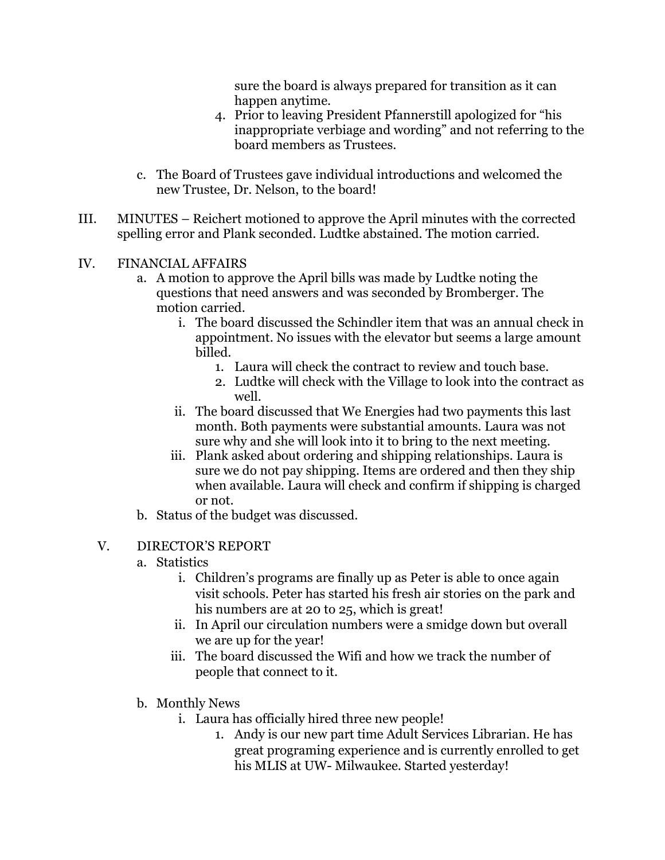sure the board is always prepared for transition as it can happen anytime.

- 4. Prior to leaving President Pfannerstill apologized for "his inappropriate verbiage and wording" and not referring to the board members as Trustees.
- c. The Board of Trustees gave individual introductions and welcomed the new Trustee, Dr. Nelson, to the board!
- III. MINUTES Reichert motioned to approve the April minutes with the corrected spelling error and Plank seconded. Ludtke abstained. The motion carried.

## IV. FINANCIAL AFFAIRS

- a. A motion to approve the April bills was made by Ludtke noting the questions that need answers and was seconded by Bromberger. The motion carried.
	- i. The board discussed the Schindler item that was an annual check in appointment. No issues with the elevator but seems a large amount billed.
		- 1. Laura will check the contract to review and touch base.
		- 2. Ludtke will check with the Village to look into the contract as well.
	- ii. The board discussed that We Energies had two payments this last month. Both payments were substantial amounts. Laura was not sure why and she will look into it to bring to the next meeting.
	- iii. Plank asked about ordering and shipping relationships. Laura is sure we do not pay shipping. Items are ordered and then they ship when available. Laura will check and confirm if shipping is charged or not.
- b. Status of the budget was discussed.

#### V. DIRECTOR'S REPORT

- a. Statistics
	- i. Children's programs are finally up as Peter is able to once again visit schools. Peter has started his fresh air stories on the park and his numbers are at 20 to 25, which is great!
	- ii. In April our circulation numbers were a smidge down but overall we are up for the year!
	- iii. The board discussed the Wifi and how we track the number of people that connect to it.
- b. Monthly News
	- i. Laura has officially hired three new people!
		- 1. Andy is our new part time Adult Services Librarian. He has great programing experience and is currently enrolled to get his MLIS at UW- Milwaukee. Started yesterday!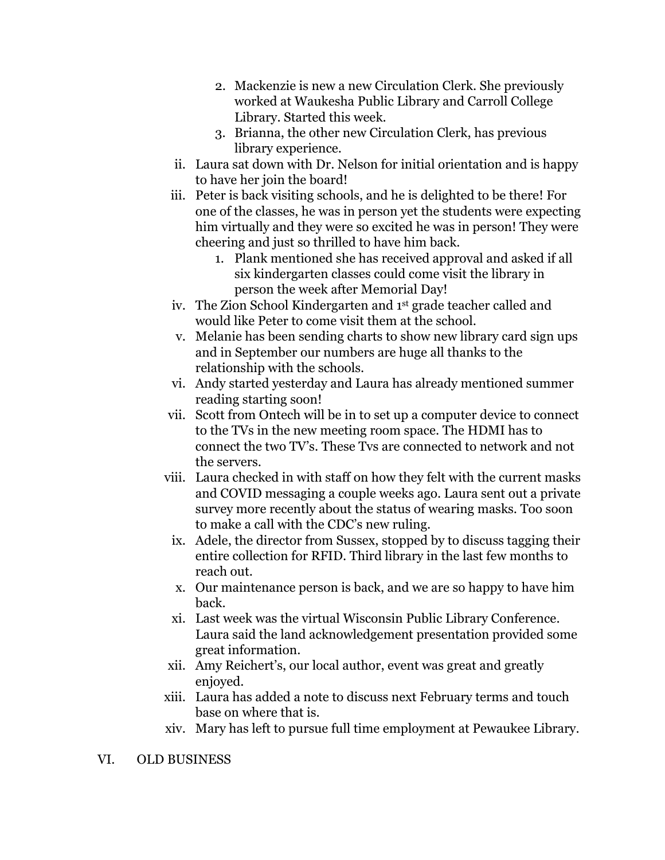- 2. Mackenzie is new a new Circulation Clerk. She previously worked at Waukesha Public Library and Carroll College Library. Started this week.
- 3. Brianna, the other new Circulation Clerk, has previous library experience.
- ii. Laura sat down with Dr. Nelson for initial orientation and is happy to have her join the board!
- iii. Peter is back visiting schools, and he is delighted to be there! For one of the classes, he was in person yet the students were expecting him virtually and they were so excited he was in person! They were cheering and just so thrilled to have him back.
	- 1. Plank mentioned she has received approval and asked if all six kindergarten classes could come visit the library in person the week after Memorial Day!
- iv. The Zion School Kindergarten and 1st grade teacher called and would like Peter to come visit them at the school.
- v. Melanie has been sending charts to show new library card sign ups and in September our numbers are huge all thanks to the relationship with the schools.
- vi. Andy started yesterday and Laura has already mentioned summer reading starting soon!
- vii. Scott from Ontech will be in to set up a computer device to connect to the TVs in the new meeting room space. The HDMI has to connect the two TV's. These Tvs are connected to network and not the servers.
- viii. Laura checked in with staff on how they felt with the current masks and COVID messaging a couple weeks ago. Laura sent out a private survey more recently about the status of wearing masks. Too soon to make a call with the CDC's new ruling.
- ix. Adele, the director from Sussex, stopped by to discuss tagging their entire collection for RFID. Third library in the last few months to reach out.
- x. Our maintenance person is back, and we are so happy to have him back.
- xi. Last week was the virtual Wisconsin Public Library Conference. Laura said the land acknowledgement presentation provided some great information.
- xii. Amy Reichert's, our local author, event was great and greatly enjoyed.
- xiii. Laura has added a note to discuss next February terms and touch base on where that is.
- xiv. Mary has left to pursue full time employment at Pewaukee Library.

#### VI. OLD BUSINESS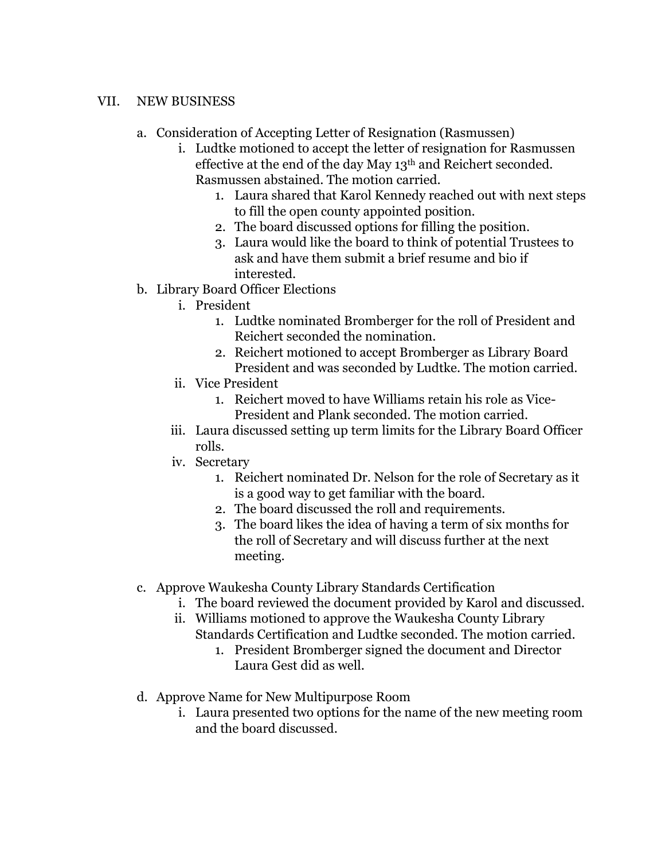### VII. NEW BUSINESS

- a. Consideration of Accepting Letter of Resignation (Rasmussen)
	- i. Ludtke motioned to accept the letter of resignation for Rasmussen effective at the end of the day May 13th and Reichert seconded. Rasmussen abstained. The motion carried.
		- 1. Laura shared that Karol Kennedy reached out with next steps to fill the open county appointed position.
		- 2. The board discussed options for filling the position.
		- 3. Laura would like the board to think of potential Trustees to ask and have them submit a brief resume and bio if interested.
- b. Library Board Officer Elections
	- i. President
		- 1. Ludtke nominated Bromberger for the roll of President and Reichert seconded the nomination.
		- 2. Reichert motioned to accept Bromberger as Library Board President and was seconded by Ludtke. The motion carried.
	- ii. Vice President
		- 1. Reichert moved to have Williams retain his role as Vice-President and Plank seconded. The motion carried.
	- iii. Laura discussed setting up term limits for the Library Board Officer rolls.
	- iv. Secretary
		- 1. Reichert nominated Dr. Nelson for the role of Secretary as it is a good way to get familiar with the board.
		- 2. The board discussed the roll and requirements.
		- 3. The board likes the idea of having a term of six months for the roll of Secretary and will discuss further at the next meeting.
- c. Approve Waukesha County Library Standards Certification
	- i. The board reviewed the document provided by Karol and discussed.
	- ii. Williams motioned to approve the Waukesha County Library Standards Certification and Ludtke seconded. The motion carried.
		- 1. President Bromberger signed the document and Director Laura Gest did as well.
- d. Approve Name for New Multipurpose Room
	- i. Laura presented two options for the name of the new meeting room and the board discussed.